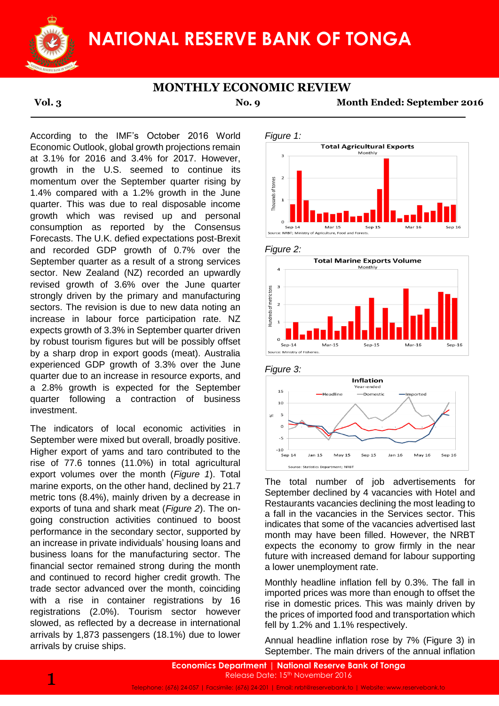

### **MONTHLY ECONOMIC REVIEW**

**Vol. 3 No. 9 Month Ended: September 2016**

According to the IMF's October 2016 World Economic Outlook, global growth projections remain at 3.1% for 2016 and 3.4% for 2017. However, growth in the U.S. seemed to continue its momentum over the September quarter rising by 1.4% compared with a 1.2% growth in the June quarter. This was due to real disposable income growth which was revised up and personal consumption as reported by the Consensus Forecasts. The U.K. defied expectations post-Brexit and recorded GDP growth of 0.7% over the September quarter as a result of a strong services sector. New Zealand (NZ) recorded an upwardly revised growth of 3.6% over the June quarter strongly driven by the primary and manufacturing sectors. The revision is due to new data noting an increase in labour force participation rate. NZ expects growth of 3.3% in September quarter driven by robust tourism figures but will be possibly offset by a sharp drop in export goods (meat). Australia experienced GDP growth of 3.3% over the June quarter due to an increase in resource exports, and a 2.8% growth is expected for the September quarter following a contraction of business investment.

The indicators of local economic activities in September were mixed but overall, broadly positive. Higher export of yams and taro contributed to the rise of 77.6 tonnes (11.0%) in total agricultural export volumes over the month (*Figure 1*). Total marine exports, on the other hand, declined by 21.7 metric tons (8.4%), mainly driven by a decrease in exports of tuna and shark meat (*Figure 2*). The ongoing construction activities continued to boost performance in the secondary sector, supported by an increase in private individuals' housing loans and business loans for the manufacturing sector. The financial sector remained strong during the month and continued to record higher credit growth. The trade sector advanced over the month, coinciding with a rise in container registrations by 16 registrations (2.0%). Tourism sector however slowed, as reflected by a decrease in international arrivals by 1,873 passengers (18.1%) due to lower arrivals by cruise ships.







### *Figure 3:*



The total number of job advertisements for September declined by 4 vacancies with Hotel and Restaurants vacancies declining the most leading to a fall in the vacancies in the Services sector. This indicates that some of the vacancies advertised last month may have been filled. However, the NRBT expects the economy to grow firmly in the near future with increased demand for labour supporting a lower unemployment rate.

Monthly headline inflation fell by 0.3%. The fall in imported prices was more than enough to offset the rise in domestic prices. This was mainly driven by the prices of imported food and transportation which fell by 1.2% and 1.1% respectively.

Annual headline inflation rose by 7% (Figure 3) in September. The main drivers of the annual inflation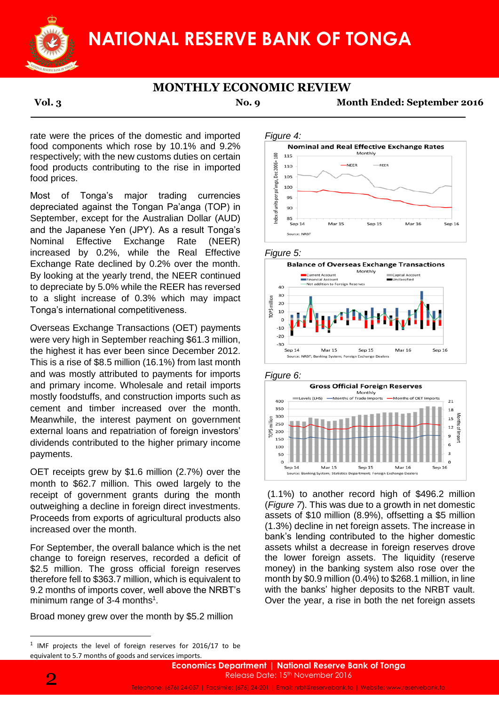

# **MONTHLY ECONOMIC REVIEW**

**Vol. 3 No. 9 Month Ended: September 2016**

rate were the prices of the domestic and imported food components which rose by 10.1% and 9.2% respectively; with the new customs duties on certain food products contributing to the rise in imported food prices.

Most of Tonga's major trading currencies depreciated against the Tongan Pa'anga (TOP) in September, except for the Australian Dollar (AUD) and the Japanese Yen (JPY). As a result Tonga's Nominal Effective Exchange Rate (NEER) increased by 0.2%, while the Real Effective Exchange Rate declined by 0.2% over the month. By looking at the yearly trend, the NEER continued to depreciate by 5.0% while the REER has reversed to a slight increase of 0.3% which may impact Tonga's international competitiveness.

Overseas Exchange Transactions (OET) payments were very high in September reaching \$61.3 million, the highest it has ever been since December 2012. This is a rise of \$8.5 million (16.1%) from last month and was mostly attributed to payments for imports and primary income. Wholesale and retail imports mostly foodstuffs, and construction imports such as cement and timber increased over the month. Meanwhile, the interest payment on government external loans and repatriation of foreign investors' dividends contributed to the higher primary income payments.

OET receipts grew by \$1.6 million (2.7%) over the month to \$62.7 million. This owed largely to the receipt of government grants during the month outweighing a decline in foreign direct investments. Proceeds from exports of agricultural products also increased over the month.

For September, the overall balance which is the net change to foreign reserves, recorded a deficit of \$2.5 million. The gross official foreign reserves therefore fell to \$363.7 million, which is equivalent to 9.2 months of imports cover, well above the NRBT's minimum range of  $3-4$  months<sup>1</sup>.

Broad money grew over the month by \$5.2 million











(1.1%) to another record high of \$496.2 million (*Figure 7*). This was due to a growth in net domestic assets of \$10 million (8.9%), offsetting a \$5 million (1.3%) decline in net foreign assets. The increase in bank's lending contributed to the higher domestic assets whilst a decrease in foreign reserves drove the lower foreign assets. The liquidity (reserve money) in the banking system also rose over the month by \$0.9 million (0.4%) to \$268.1 million, in line with the banks' higher deposits to the NRBT vault. Over the year, a rise in both the net foreign assets

**.** 

 $1$  IMF projects the level of foreign reserves for 2016/17 to be equivalent to 5.7 months of goods and services imports.